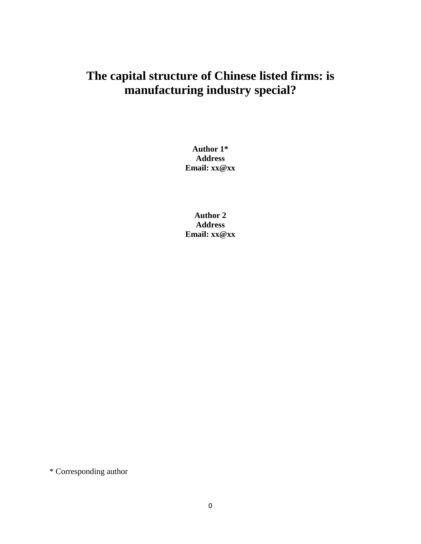# **The capital structure of Chinese listed firms: is manufacturing industry special?**

**Author 1\* Address Email: xx@xx**

**Author 2 Address Email: xx@xx**

\* Corresponding author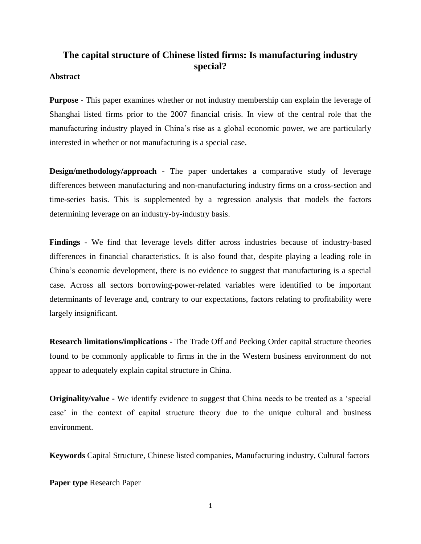## **The capital structure of Chinese listed firms: Is manufacturing industry special?**

#### **Abstract**

**Purpose -** This paper examines whether or not industry membership can explain the leverage of Shanghai listed firms prior to the 2007 financial crisis. In view of the central role that the manufacturing industry played in China's rise as a global economic power, we are particularly interested in whether or not manufacturing is a special case.

**Design/methodology/approach -** The paper undertakes a comparative study of leverage differences between manufacturing and non-manufacturing industry firms on a cross-section and time-series basis. This is supplemented by a regression analysis that models the factors determining leverage on an industry-by-industry basis.

**Findings -** We find that leverage levels differ across industries because of industry-based differences in financial characteristics. It is also found that, despite playing a leading role in China's economic development, there is no evidence to suggest that manufacturing is a special case. Across all sectors borrowing-power-related variables were identified to be important determinants of leverage and, contrary to our expectations, factors relating to profitability were largely insignificant.

**Research limitations/implications -** The Trade Off and Pecking Order capital structure theories found to be commonly applicable to firms in the in the Western business environment do not appear to adequately explain capital structure in China.

**Originality/value -** We identify evidence to suggest that China needs to be treated as a 'special case' in the context of capital structure theory due to the unique cultural and business environment.

**Keywords** Capital Structure, Chinese listed companies, Manufacturing industry, Cultural factors

**Paper type** Research Paper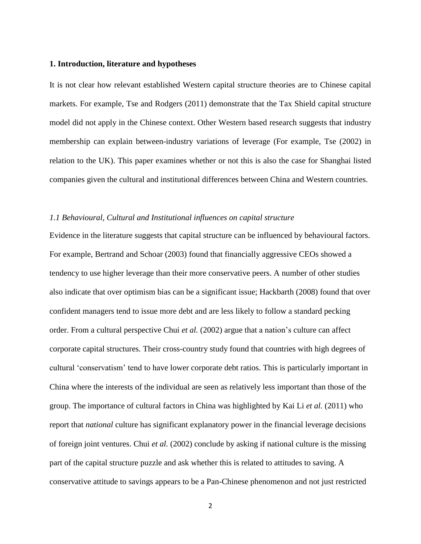#### **1. Introduction, literature and hypotheses**

It is not clear how relevant established Western capital structure theories are to Chinese capital markets. For example, Tse and Rodgers (2011) demonstrate that the Tax Shield capital structure model did not apply in the Chinese context. Other Western based research suggests that industry membership can explain between-industry variations of leverage (For example, Tse (2002) in relation to the UK). This paper examines whether or not this is also the case for Shanghai listed companies given the cultural and institutional differences between China and Western countries.

#### *1.1 Behavioural, Cultural and Institutional influences on capital structure*

Evidence in the literature suggests that capital structure can be influenced by behavioural factors. For example, Bertrand and Schoar (2003) found that financially aggressive CEOs showed a tendency to use higher leverage than their more conservative peers. A number of other studies also indicate that over optimism bias can be a significant issue; Hackbarth (2008) found that over confident managers tend to issue more debt and are less likely to follow a standard pecking order. From a cultural perspective Chui *et al.* (2002) argue that a nation's culture can affect corporate capital structures. Their cross-country study found that countries with high degrees of cultural 'conservatism' tend to have lower corporate debt ratios. This is particularly important in China where the interests of the individual are seen as relatively less important than those of the group. The importance of cultural factors in China was highlighted by Kai Li *et al.* (2011) who report that *national* culture has significant explanatory power in the financial leverage decisions of foreign joint ventures. Chui *et al.* (2002) conclude by asking if national culture is the missing part of the capital structure puzzle and ask whether this is related to attitudes to saving. A conservative attitude to savings appears to be a Pan-Chinese phenomenon and not just restricted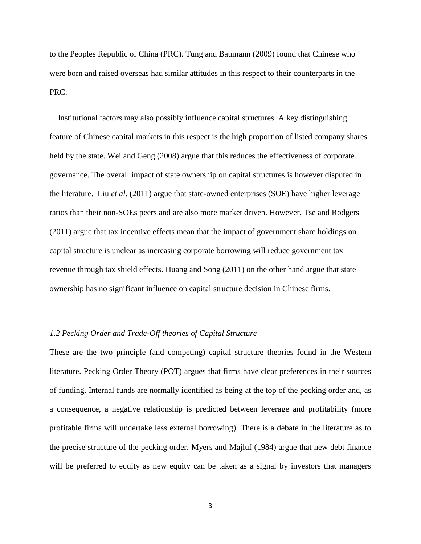to the Peoples Republic of China (PRC). Tung and Baumann (2009) found that Chinese who were born and raised overseas had similar attitudes in this respect to their counterparts in the PRC.

 Institutional factors may also possibly influence capital structures. A key distinguishing feature of Chinese capital markets in this respect is the high proportion of listed company shares held by the state. Wei and Geng (2008) argue that this reduces the effectiveness of corporate governance. The overall impact of state ownership on capital structures is however disputed in the literature. Liu *et al*. (2011) argue that state-owned enterprises (SOE) have higher leverage ratios than their non-SOEs peers and are also more market driven. However, Tse and Rodgers (2011) argue that tax incentive effects mean that the impact of government share holdings on capital structure is unclear as increasing corporate borrowing will reduce government tax revenue through tax shield effects. Huang and Song (2011) on the other hand argue that state ownership has no significant influence on capital structure decision in Chinese firms.

#### *1.2 Pecking Order and Trade-Off theories of Capital Structure*

These are the two principle (and competing) capital structure theories found in the Western literature. Pecking Order Theory (POT) argues that firms have clear preferences in their sources of funding. Internal funds are normally identified as being at the top of the pecking order and, as a consequence, a negative relationship is predicted between leverage and profitability (more profitable firms will undertake less external borrowing). There is a debate in the literature as to the precise structure of the pecking order. Myers and Majluf (1984) argue that new debt finance will be preferred to equity as new equity can be taken as a signal by investors that managers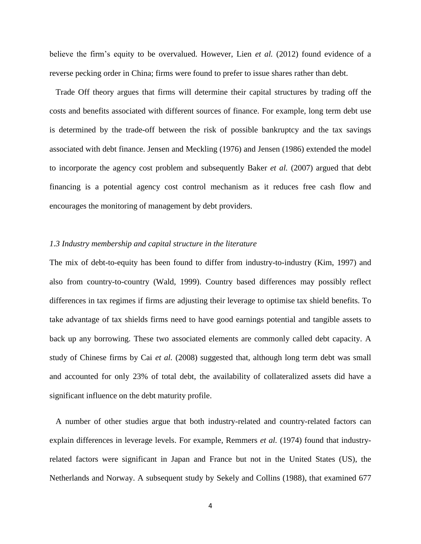believe the firm's equity to be overvalued. However, Lien *et al.* (2012) found evidence of a reverse pecking order in China; firms were found to prefer to issue shares rather than debt.

 Trade Off theory argues that firms will determine their capital structures by trading off the costs and benefits associated with different sources of finance. For example, long term debt use is determined by the trade-off between the risk of possible bankruptcy and the tax savings associated with debt finance. Jensen and Meckling (1976) and Jensen (1986) extended the model to incorporate the agency cost problem and subsequently Baker *et al.* (2007) argued that debt financing is a potential agency cost control mechanism as it reduces free cash flow and encourages the monitoring of management by debt providers.

#### *1.3 Industry membership and capital structure in the literature*

The mix of debt-to-equity has been found to differ from industry-to-industry (Kim, 1997) and also from country-to-country (Wald, 1999). Country based differences may possibly reflect differences in tax regimes if firms are adjusting their leverage to optimise tax shield benefits. To take advantage of tax shields firms need to have good earnings potential and tangible assets to back up any borrowing. These two associated elements are commonly called debt capacity. A study of Chinese firms by Cai *et al.* (2008) suggested that, although long term debt was small and accounted for only 23% of total debt, the availability of collateralized assets did have a significant influence on the debt maturity profile.

 A number of other studies argue that both industry-related and country-related factors can explain differences in leverage levels. For example, Remmers *et al.* (1974) found that industryrelated factors were significant in Japan and France but not in the United States (US), the Netherlands and Norway. A subsequent study by Sekely and Collins (1988), that examined 677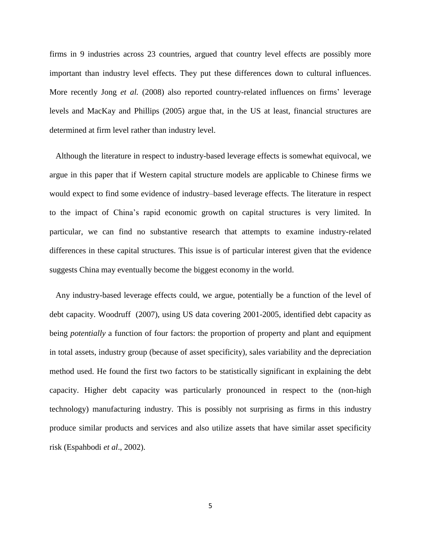firms in 9 industries across 23 countries, argued that country level effects are possibly more important than industry level effects. They put these differences down to cultural influences. More recently Jong *et al.* (2008) also reported country-related influences on firms' leverage levels and MacKay and Phillips (2005) argue that, in the US at least, financial structures are determined at firm level rather than industry level.

 Although the literature in respect to industry-based leverage effects is somewhat equivocal, we argue in this paper that if Western capital structure models are applicable to Chinese firms we would expect to find some evidence of industry–based leverage effects. The literature in respect to the impact of China's rapid economic growth on capital structures is very limited. In particular, we can find no substantive research that attempts to examine industry-related differences in these capital structures. This issue is of particular interest given that the evidence suggests China may eventually become the biggest economy in the world.

 Any industry-based leverage effects could, we argue, potentially be a function of the level of debt capacity. Woodruff (2007), using US data covering 2001-2005, identified debt capacity as being *potentially* a function of four factors: the proportion of property and plant and equipment in total assets, industry group (because of asset specificity), sales variability and the depreciation method used. He found the first two factors to be statistically significant in explaining the debt capacity. Higher debt capacity was particularly pronounced in respect to the (non-high technology) manufacturing industry. This is possibly not surprising as firms in this industry produce similar products and services and also utilize assets that have similar asset specificity risk (Espahbodi *et al*., 2002).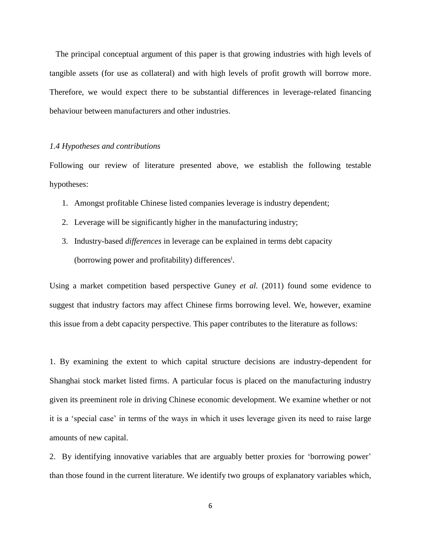The principal conceptual argument of this paper is that growing industries with high levels of tangible assets (for use as collateral) and with high levels of profit growth will borrow more. Therefore, we would expect there to be substantial differences in leverage-related financing behaviour between manufacturers and other industries.

#### *1.4 Hypotheses and contributions*

Following our review of literature presented above, we establish the following testable hypotheses:

- 1. Amongst profitable Chinese listed companies leverage is industry dependent;
- 2. Leverage will be significantly higher in the manufacturing industry;
- 3. Industry-based *differences* in leverage can be explained in terms debt capacity (borrowing power and profitability) differences<sup>i</sup>.

Using a market competition based perspective Guney *et al.* (2011) found some evidence to suggest that industry factors may affect Chinese firms borrowing level. We, however, examine this issue from a debt capacity perspective. This paper contributes to the literature as follows:

1. By examining the extent to which capital structure decisions are industry-dependent for Shanghai stock market listed firms. A particular focus is placed on the manufacturing industry given its preeminent role in driving Chinese economic development. We examine whether or not it is a 'special case' in terms of the ways in which it uses leverage given its need to raise large amounts of new capital.

2. By identifying innovative variables that are arguably better proxies for 'borrowing power' than those found in the current literature. We identify two groups of explanatory variables which,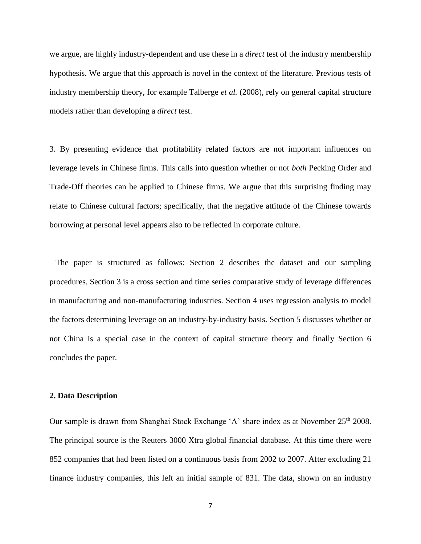we argue, are highly industry-dependent and use these in a *direct* test of the industry membership hypothesis. We argue that this approach is novel in the context of the literature. Previous tests of industry membership theory, for example Talberge *et al.* (2008), rely on general capital structure models rather than developing a *direct* test.

3. By presenting evidence that profitability related factors are not important influences on leverage levels in Chinese firms. This calls into question whether or not *both* Pecking Order and Trade-Off theories can be applied to Chinese firms. We argue that this surprising finding may relate to Chinese cultural factors; specifically, that the negative attitude of the Chinese towards borrowing at personal level appears also to be reflected in corporate culture.

 The paper is structured as follows: Section 2 describes the dataset and our sampling procedures. Section 3 is a cross section and time series comparative study of leverage differences in manufacturing and non-manufacturing industries. Section 4 uses regression analysis to model the factors determining leverage on an industry-by-industry basis. Section 5 discusses whether or not China is a special case in the context of capital structure theory and finally Section 6 concludes the paper.

#### **2. Data Description**

Our sample is drawn from Shanghai Stock Exchange 'A' share index as at November 25<sup>th</sup> 2008. The principal source is the Reuters 3000 Xtra global financial database. At this time there were 852 companies that had been listed on a continuous basis from 2002 to 2007. After excluding 21 finance industry companies, this left an initial sample of 831. The data, shown on an industry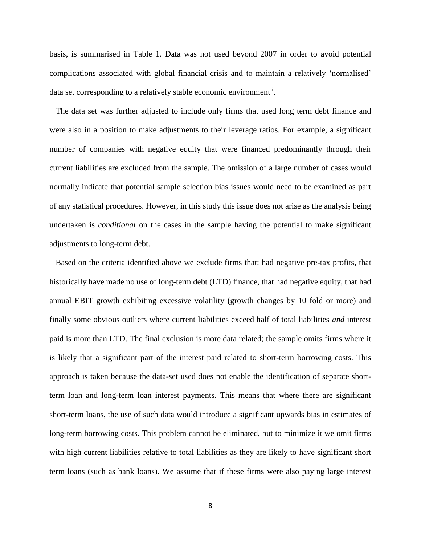basis, is summarised in Table 1. Data was not used beyond 2007 in order to avoid potential complications associated with global financial crisis and to maintain a relatively 'normalised' data set corresponding to a relatively stable economic environment<sup>ii</sup>.

 The data set was further adjusted to include only firms that used long term debt finance and were also in a position to make adjustments to their leverage ratios. For example, a significant number of companies with negative equity that were financed predominantly through their current liabilities are excluded from the sample. The omission of a large number of cases would normally indicate that potential sample selection bias issues would need to be examined as part of any statistical procedures. However, in this study this issue does not arise as the analysis being undertaken is *conditional* on the cases in the sample having the potential to make significant adjustments to long-term debt.

 Based on the criteria identified above we exclude firms that: had negative pre-tax profits, that historically have made no use of long-term debt (LTD) finance, that had negative equity, that had annual EBIT growth exhibiting excessive volatility (growth changes by 10 fold or more) and finally some obvious outliers where current liabilities exceed half of total liabilities *and* interest paid is more than LTD. The final exclusion is more data related; the sample omits firms where it is likely that a significant part of the interest paid related to short-term borrowing costs. This approach is taken because the data-set used does not enable the identification of separate shortterm loan and long-term loan interest payments. This means that where there are significant short-term loans, the use of such data would introduce a significant upwards bias in estimates of long-term borrowing costs. This problem cannot be eliminated, but to minimize it we omit firms with high current liabilities relative to total liabilities as they are likely to have significant short term loans (such as bank loans). We assume that if these firms were also paying large interest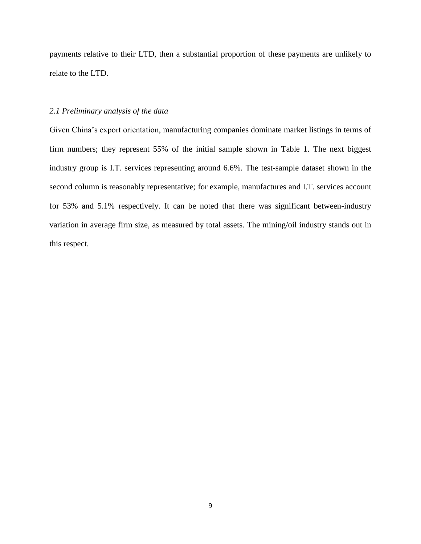payments relative to their LTD, then a substantial proportion of these payments are unlikely to relate to the LTD.

#### *2.1 Preliminary analysis of the data*

Given China's export orientation, manufacturing companies dominate market listings in terms of firm numbers; they represent 55% of the initial sample shown in Table 1. The next biggest industry group is I.T. services representing around 6.6%. The test-sample dataset shown in the second column is reasonably representative; for example, manufactures and I.T. services account for 53% and 5.1% respectively. It can be noted that there was significant between-industry variation in average firm size, as measured by total assets. The mining/oil industry stands out in this respect.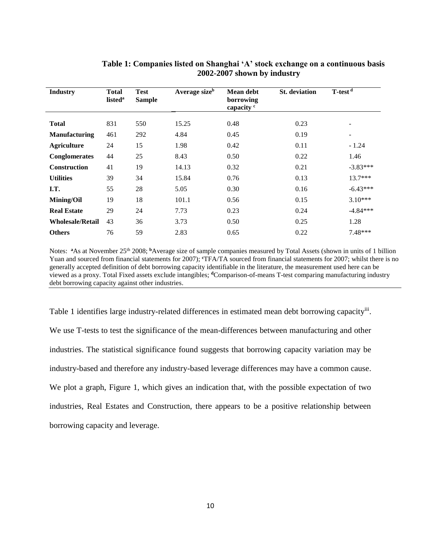| <b>Industry</b>         | <b>Total</b><br>listed <sup>a</sup> | <b>Test</b><br><b>Sample</b> | Average sizeb | <b>Mean debt</b><br>borrowing<br>capacity <sup>c</sup> | <b>St.</b> deviation | T-test <sup>d</sup> |
|-------------------------|-------------------------------------|------------------------------|---------------|--------------------------------------------------------|----------------------|---------------------|
| <b>Total</b>            | 831                                 | 550                          | 15.25         | 0.48                                                   | 0.23                 |                     |
| <b>Manufacturing</b>    | 461                                 | 292                          | 4.84          | 0.45                                                   | 0.19                 |                     |
| <b>Agriculture</b>      | 24                                  | 15                           | 1.98          | 0.42                                                   | 0.11                 | $-1.24$             |
| <b>Conglomerates</b>    | 44                                  | 25                           | 8.43          | 0.50                                                   | 0.22                 | 1.46                |
| <b>Construction</b>     | 41                                  | 19                           | 14.13         | 0.32                                                   | 0.21                 | $-3.83***$          |
| <b>Utilities</b>        | 39                                  | 34                           | 15.84         | 0.76                                                   | 0.13                 | $13.7***$           |
| I.T.                    | 55                                  | 28                           | 5.05          | 0.30                                                   | 0.16                 | $-6.43***$          |
| <b>Mining/Oil</b>       | 19                                  | 18                           | 101.1         | 0.56                                                   | 0.15                 | $3.10***$           |
| <b>Real Estate</b>      | 29                                  | 24                           | 7.73          | 0.23                                                   | 0.24                 | $-4.84***$          |
| <b>Wholesale/Retail</b> | 43                                  | 36                           | 3.73          | 0.50                                                   | 0.25                 | 1.28                |
| <b>Others</b>           | 76                                  | 59                           | 2.83          | 0.65                                                   | 0.22                 | 7.48***             |

## **Table 1: Companies listed on Shanghai 'A' stock exchange on a continuous basis 2002-2007 shown by industry**

Notes: <sup>a</sup>As at November 25<sup>th</sup> 2008; <sup>b</sup>Average size of sample companies measured by Total Assets (shown in units of 1 billion Yuan and sourced from financial statements for 2007); **<sup>c</sup>**TFA/TA sourced from financial statements for 2007; whilst there is no generally accepted definition of debt borrowing capacity identifiable in the literature, the measurement used here can be viewed as a proxy. Total Fixed assets exclude intangibles; **<sup>d</sup>**Comparison-of-means T-test comparing manufacturing industry debt borrowing capacity against other industries.

Table 1 identifies large industry-related differences in estimated mean debt borrowing capacity<sup>iii</sup>. We use T-tests to test the significance of the mean-differences between manufacturing and other industries. The statistical significance found suggests that borrowing capacity variation may be industry-based and therefore any industry-based leverage differences may have a common cause. We plot a graph, Figure 1, which gives an indication that, with the possible expectation of two industries, Real Estates and Construction, there appears to be a positive relationship between borrowing capacity and leverage.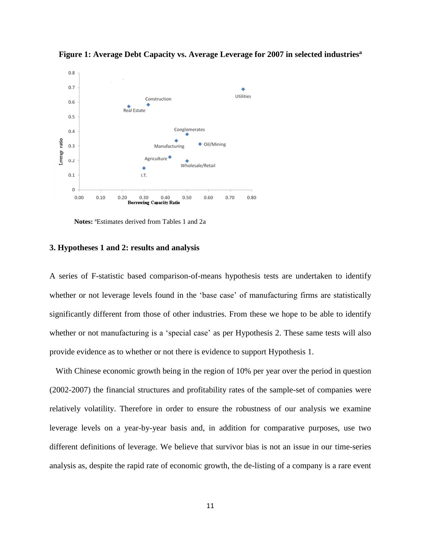

**Figure 1: Average Debt Capacity vs. Average Leverage for 2007 in selected industries<sup>a</sup>**

**Notes:** <sup>a</sup>Estimates derived from Tables 1 and 2a

#### **3. Hypotheses 1 and 2: results and analysis**

A series of F-statistic based comparison-of-means hypothesis tests are undertaken to identify whether or not leverage levels found in the 'base case' of manufacturing firms are statistically significantly different from those of other industries. From these we hope to be able to identify whether or not manufacturing is a 'special case' as per Hypothesis 2. These same tests will also provide evidence as to whether or not there is evidence to support Hypothesis 1.

 With Chinese economic growth being in the region of 10% per year over the period in question (2002-2007) the financial structures and profitability rates of the sample-set of companies were relatively volatility. Therefore in order to ensure the robustness of our analysis we examine leverage levels on a year-by-year basis and, in addition for comparative purposes, use two different definitions of leverage. We believe that survivor bias is not an issue in our time-series analysis as, despite the rapid rate of economic growth, the de-listing of a company is a rare event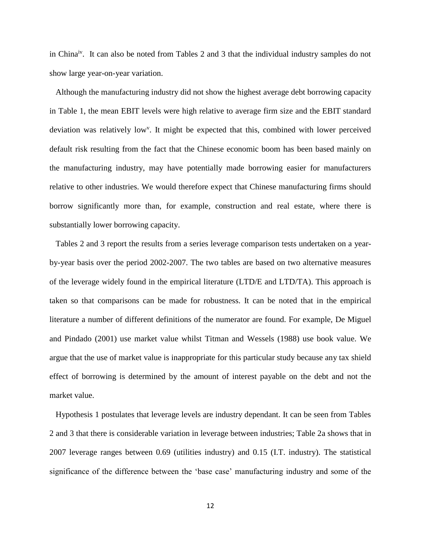in Chinaiv. It can also be noted from Tables 2 and 3 that the individual industry samples do not show large year-on-year variation.

 Although the manufacturing industry did not show the highest average debt borrowing capacity in Table 1, the mean EBIT levels were high relative to average firm size and the EBIT standard deviation was relatively low<sup>y</sup>. It might be expected that this, combined with lower perceived default risk resulting from the fact that the Chinese economic boom has been based mainly on the manufacturing industry, may have potentially made borrowing easier for manufacturers relative to other industries. We would therefore expect that Chinese manufacturing firms should borrow significantly more than, for example, construction and real estate, where there is substantially lower borrowing capacity.

 Tables 2 and 3 report the results from a series leverage comparison tests undertaken on a yearby-year basis over the period 2002-2007. The two tables are based on two alternative measures of the leverage widely found in the empirical literature (LTD/E and LTD/TA). This approach is taken so that comparisons can be made for robustness. It can be noted that in the empirical literature a number of different definitions of the numerator are found. For example, De Miguel and Pindado (2001) use market value whilst Titman and Wessels (1988) use book value. We argue that the use of market value is inappropriate for this particular study because any tax shield effect of borrowing is determined by the amount of interest payable on the debt and not the market value.

 Hypothesis 1 postulates that leverage levels are industry dependant. It can be seen from Tables 2 and 3 that there is considerable variation in leverage between industries; Table 2a shows that in 2007 leverage ranges between 0.69 (utilities industry) and 0.15 (I.T. industry). The statistical significance of the difference between the 'base case' manufacturing industry and some of the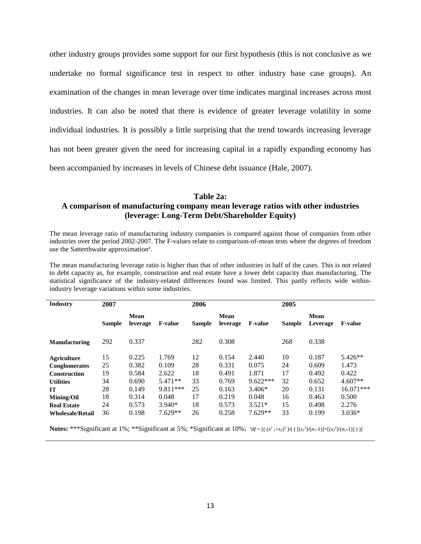other industry groups provides some support for our first hypothesis (this is not conclusive as we undertake no formal significance test in respect to other industry base case groups). An examination of the changes in mean leverage over time indicates marginal increases across most industries. It can also be noted that there is evidence of greater leverage volatility in some individual industries. It is possibly a little surprising that the trend towards increasing leverage has not been greater given the need for increasing capital in a rapidly expanding economy has been accompanied by increases in levels of Chinese debt issuance (Hale, 2007).

#### **Table 2a:**

## **A comparison of manufacturing company mean leverage ratios with other industries (leverage: Long-Term Debt/Shareholder Equity)**

The mean leverage ratio of manufacturing industry companies is compared against those of companies from other industries over the period 2002-2007. The F-values relate to comparison-of-mean tests where the degrees of freedom use the Satterthwaite approximation<sup>a</sup>.

The mean manufacturing leverage ratio is higher than that of other industries in half of the cases. This is not related to debt capacity as, for example, construction and real estate have a lower debt capacity than manufacturing. The statistical significance of the industry-related differences found was limited. This partly reflects wide withinindustry leverage variations within some industries.

| <b>Industry</b>         | 2007          |                         |                | 2006          |                  |                | 2005          |                  |                |
|-------------------------|---------------|-------------------------|----------------|---------------|------------------|----------------|---------------|------------------|----------------|
|                         | <b>Sample</b> | <b>Mean</b><br>leverage | <b>F-value</b> | <b>Sample</b> | Mean<br>leverage | <b>F-value</b> | <b>Sample</b> | Mean<br>Leverage | <b>F-value</b> |
| <b>Manufacturing</b>    | 292           | 0.337                   |                | 282           | 0.308            |                | 268           | 0.338            |                |
| <b>Agriculture</b>      | 15            | 0.225                   | 1.769          | 12            | 0.154            | 2.440          | 10            | 0.187            | 5.426**        |
| <b>Conglomerates</b>    | 25            | 0.382                   | 0.109          | 28            | 0.331            | 0.075          | 24            | 0.609            | 1.473          |
| <b>Construction</b>     | 19            | 0.584                   | 2.622          | 18            | 0.491            | 1.871          | 17            | 0.492            | 0.422          |
| <b>Utilities</b>        | 34            | 0.690                   | $5.471**$      | 33            | 0.769            | $9.622***$     | 32            | 0.652            | 4.607**        |
| IT                      | 28            | 0.149                   | 9.811***       | 25            | 0.163            | $3.406*$       | 20            | 0.131            | $16.071***$    |
| <b>Mining/Oil</b>       | 18            | 0.314                   | 0.048          | 17            | 0.219            | 0.048          | 16            | 0.463            | 0.500          |
| <b>Real Estate</b>      | 24            | 0.573                   | $3.940*$       | 18            | 0.573            | $3.521*$       | 15            | 0.498            | 2.276          |
| <b>Wholesale/Retail</b> | 36            | 0.198                   | $7.629**$      | 26            | 0.258            | $7.629**$      | 33            | 0.199            | $3.036*$       |

**Notes:** \*\*\*Significant at 1%; \*\*Significant at 5%; \*Significant at 10%;  $^{4}f=[((s^{2}t+2s)^{2})/(([(s^{2}t)/(n-1)]+[(s^{2}t)/(n-1)]))]$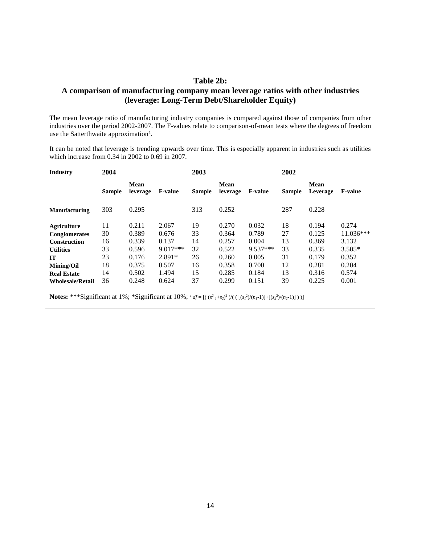#### **Table 2b:**

## **A comparison of manufacturing company mean leverage ratios with other industries (leverage: Long-Term Debt/Shareholder Equity)**

The mean leverage ratio of manufacturing industry companies is compared against those of companies from other industries over the period 2002-2007. The F-values relate to comparison-of-mean tests where the degrees of freedom use the Satterthwaite approximation<sup>a</sup>.

It can be noted that leverage is trending upwards over time. This is especially apparent in industries such as utilities which increase from 0.34 in 2002 to 0.69 in 2007.

| <b>Industry</b>         | 2004          |                  |                | 2003          |                  |                | 2002          |                  |                |
|-------------------------|---------------|------------------|----------------|---------------|------------------|----------------|---------------|------------------|----------------|
|                         | <b>Sample</b> | Mean<br>leverage | <b>F-value</b> | <b>Sample</b> | Mean<br>leverage | <b>F-value</b> | <b>Sample</b> | Mean<br>Leverage | <b>F-value</b> |
| <b>Manufacturing</b>    | 303           | 0.295            |                | 313           | 0.252            |                | 287           | 0.228            |                |
| <b>Agriculture</b>      | 11            | 0.211            | 2.067          | 19            | 0.270            | 0.032          | 18            | 0.194            | 0.274          |
| Conglomerates           | 30            | 0.389            | 0.676          | 33            | 0.364            | 0.789          | 27            | 0.125            | 11.036***      |
| <b>Construction</b>     | 16            | 0.339            | 0.137          | 14            | 0.257            | 0.004          | 13            | 0.369            | 3.132          |
| <b>Utilities</b>        | 33            | 0.596            | $9.017***$     | 32            | 0.522            | 9.537***       | 33            | 0.335            | $3.505*$       |
| <b>IT</b>               | 23            | 0.176            | $2.891*$       | 26            | 0.260            | 0.005          | 31            | 0.179            | 0.352          |
| <b>Mining/Oil</b>       | 18            | 0.375            | 0.507          | 16            | 0.358            | 0.700          | 12            | 0.281            | 0.204          |
| <b>Real Estate</b>      | 14            | 0.502            | 1.494          | 15            | 0.285            | 0.184          | 13            | 0.316            | 0.574          |
| <b>Wholesale/Retail</b> | 36            | 0.248            | 0.624          | 37            | 0.299            | 0.151          | 39            | 0.225            | 0.001          |

**Notes:** \*\*\*Significant at 1%; \*Significant at 10%;  ${}^{a}df = [(s^{2} \tcdot t^{2})^{2}/((s^{2})/(n_{1}-1)] + [(s^{2})/(n_{2}-1)]$ )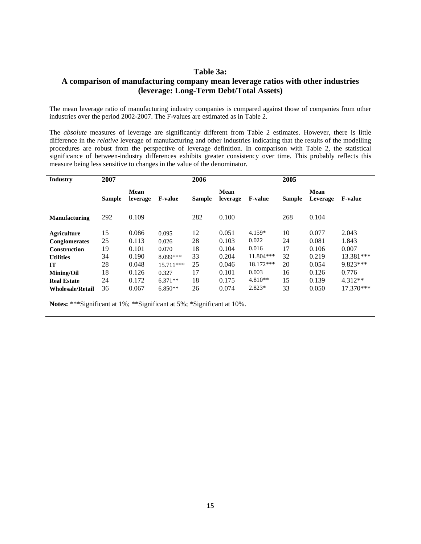## **Table 3a:**

## **A comparison of manufacturing company mean leverage ratios with other industries (leverage: Long-Term Debt/Total Assets)**

The mean leverage ratio of manufacturing industry companies is compared against those of companies from other industries over the period 2002-2007. The F-values are estimated as in Table 2.

The *absolute* measures of leverage are significantly different from Table 2 estimates. However, there is little difference in the *relative* leverage of manufacturing and other industries indicating that the results of the modelling procedures are robust from the perspective of leverage definition. In comparison with Table 2, the statistical significance of between-industry differences exhibits greater consistency over time. This probably reflects this measure being less sensitive to changes in the value of the denominator.

| <b>Industry</b>         | 2007          |                  |                | 2006          |                  |                | 2005          |                         |                |
|-------------------------|---------------|------------------|----------------|---------------|------------------|----------------|---------------|-------------------------|----------------|
|                         | <b>Sample</b> | Mean<br>leverage | <b>F-value</b> | <b>Sample</b> | Mean<br>leverage | <b>F-value</b> | <b>Sample</b> | <b>Mean</b><br>Leverage | <b>F-value</b> |
| <b>Manufacturing</b>    | 292           | 0.109            |                | 282           | 0.100            |                | 268           | 0.104                   |                |
| <b>Agriculture</b>      | 15            | 0.086            | 0.095          | 12            | 0.051            | 4.159*         | 10            | 0.077                   | 2.043          |
| Conglomerates           | 25            | 0.113            | 0.026          | 28            | 0.103            | 0.022          | 24            | 0.081                   | 1.843          |
| <b>Construction</b>     | 19            | 0.101            | 0.070          | 18            | 0.104            | 0.016          | 17            | 0.106                   | 0.007          |
| <b>Utilities</b>        | 34            | 0.190            | 8.099***       | 33            | 0.204            | 11.804***      | 32            | 0.219                   | 13.381***      |
| <b>IT</b>               | 28            | 0.048            | $15.711***$    | 25            | 0.046            | 18.172***      | 20            | 0.054                   | 9.823***       |
| <b>Mining/Oil</b>       | 18            | 0.126            | 0.327          | 17            | 0.101            | 0.003          | 16            | 0.126                   | 0.776          |
| <b>Real Estate</b>      | 24            | 0.172            | $6.371**$      | 18            | 0.175            | $4.810**$      | 15            | 0.139                   | $4.312**$      |
| <b>Wholesale/Retail</b> | 36            | 0.067            | $6.850**$      | 26            | 0.074            | $2.823*$       | 33            | 0.050                   | $17.370***$    |

**Notes:** \*\*\*Significant at 1%; \*\*Significant at 5%; \*Significant at 10%.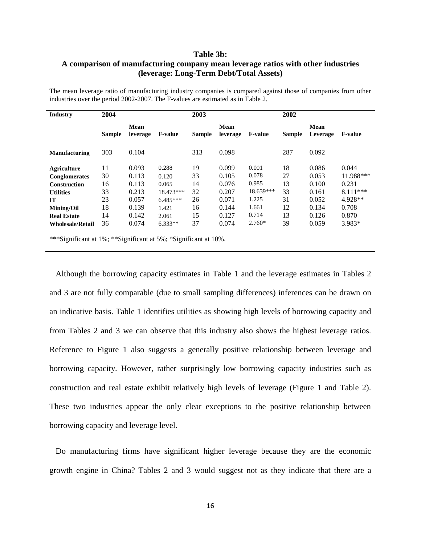#### **Table 3b:**

## **A comparison of manufacturing company mean leverage ratios with other industries (leverage: Long-Term Debt/Total Assets)**

The mean leverage ratio of manufacturing industry companies is compared against those of companies from other industries over the period 2002-2007. The F-values are estimated as in Table 2.

| <b>Industry</b>                      | 2004                        |                  |                                                         | 2003                           |                         |                | 2002          |                         |                |
|--------------------------------------|-----------------------------|------------------|---------------------------------------------------------|--------------------------------|-------------------------|----------------|---------------|-------------------------|----------------|
|                                      | <b>Sample</b>               | Mean<br>leverage | <b>F-value</b>                                          | <b>Sample</b>                  | <b>Mean</b><br>leverage | <b>F-value</b> | <b>Sample</b> | <b>Mean</b><br>Leverage | <b>F-value</b> |
| <b>Manufacturing</b>                 | 303                         | 0.104            |                                                         | 313                            | 0.098                   |                | 287           | 0.092                   |                |
| <b>Agriculture</b>                   | 11                          | 0.093            | 0.288                                                   | 19                             | 0.099                   | 0.001          | 18            | 0.086                   | 0.044          |
| Conglomerates                        | 30                          | 0.113            | 0.120                                                   | 33                             | 0.105                   | 0.078          | 27            | 0.053                   | 11.988***      |
| <b>Construction</b>                  | 16                          | 0.113            | 0.065                                                   | 14                             | 0.076                   | 0.985          | 13            | 0.100                   | 0.231          |
| <b>Utilities</b>                     | 33                          | 0.213            | 18.473***                                               | 32                             | 0.207                   | 18.639***      | 33            | 0.161                   | $8.111***$     |
| <b>IT</b>                            | 23                          | 0.057            | $6.485***$                                              | 26                             | 0.071                   | 1.225          | 31            | 0.052                   | 4.928**        |
| <b>Mining/Oil</b>                    | 18                          | 0.139            | 1.421                                                   | 16                             | 0.144                   | 1.661          | 12            | 0.134                   | 0.708          |
| <b>Real Estate</b>                   | 14                          | 0.142            | 2.061                                                   | 15                             | 0.127                   | 0.714          | 13            | 0.126                   | 0.870          |
| <b>Wholesale/Retail</b>              | 36                          | 0.074            | $6.333**$                                               | 37                             | 0.074                   | $2.760*$       | 39            | 0.059                   | 3.983*         |
| also to also can a<br>$\cdot$ $\sim$ | $\sim 10^7$ and $\sim 10^7$ | $\cdot$ $\sim$   | $\sim$ $\sim$ $\sim$ $\sim$ $\sim$ $\sim$ $\sim$ $\sim$ | $\cdot$ $\sim$<br>$\sim$ $101$ |                         |                |               |                         |                |

\*\*\*Significant at 1%; \*\*Significant at 5%; \*Significant at 10%.

 Although the borrowing capacity estimates in Table 1 and the leverage estimates in Tables 2 and 3 are not fully comparable (due to small sampling differences) inferences can be drawn on an indicative basis. Table 1 identifies utilities as showing high levels of borrowing capacity and from Tables 2 and 3 we can observe that this industry also shows the highest leverage ratios. Reference to Figure 1 also suggests a generally positive relationship between leverage and borrowing capacity. However, rather surprisingly low borrowing capacity industries such as construction and real estate exhibit relatively high levels of leverage (Figure 1 and Table 2). These two industries appear the only clear exceptions to the positive relationship between borrowing capacity and leverage level.

 Do manufacturing firms have significant higher leverage because they are the economic growth engine in China? Tables 2 and 3 would suggest not as they indicate that there are a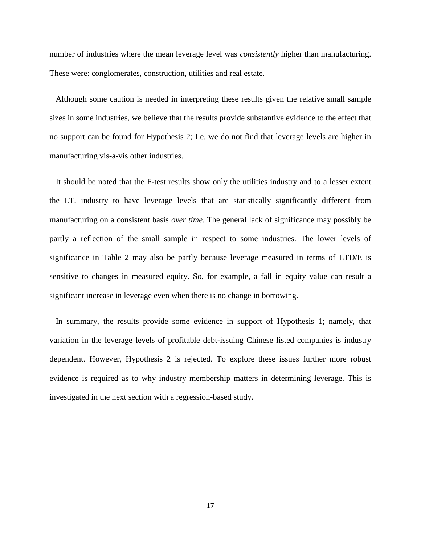number of industries where the mean leverage level was *consistently* higher than manufacturing. These were: conglomerates, construction, utilities and real estate.

 Although some caution is needed in interpreting these results given the relative small sample sizes in some industries, we believe that the results provide substantive evidence to the effect that no support can be found for Hypothesis 2; I.e. we do not find that leverage levels are higher in manufacturing vis-a-vis other industries.

 It should be noted that the F-test results show only the utilities industry and to a lesser extent the I.T. industry to have leverage levels that are statistically significantly different from manufacturing on a consistent basis *over time*. The general lack of significance may possibly be partly a reflection of the small sample in respect to some industries. The lower levels of significance in Table 2 may also be partly because leverage measured in terms of LTD/E is sensitive to changes in measured equity. So, for example, a fall in equity value can result a significant increase in leverage even when there is no change in borrowing.

 In summary, the results provide some evidence in support of Hypothesis 1; namely, that variation in the leverage levels of profitable debt-issuing Chinese listed companies is industry dependent. However, Hypothesis 2 is rejected. To explore these issues further more robust evidence is required as to why industry membership matters in determining leverage. This is investigated in the next section with a regression-based study**.**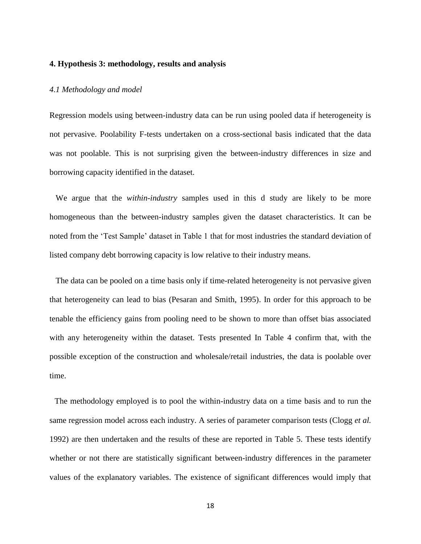#### **4. Hypothesis 3: methodology, results and analysis**

#### *4.1 Methodology and model*

Regression models using between-industry data can be run using pooled data if heterogeneity is not pervasive. Poolability F-tests undertaken on a cross-sectional basis indicated that the data was not poolable. This is not surprising given the between-industry differences in size and borrowing capacity identified in the dataset.

 We argue that the *within-industry* samples used in this d study are likely to be more homogeneous than the between-industry samples given the dataset characteristics. It can be noted from the 'Test Sample' dataset in Table 1 that for most industries the standard deviation of listed company debt borrowing capacity is low relative to their industry means.

 The data can be pooled on a time basis only if time-related heterogeneity is not pervasive given that heterogeneity can lead to bias (Pesaran and Smith, 1995). In order for this approach to be tenable the efficiency gains from pooling need to be shown to more than offset bias associated with any heterogeneity within the dataset. Tests presented In Table 4 confirm that, with the possible exception of the construction and wholesale/retail industries, the data is poolable over time.

 The methodology employed is to pool the within-industry data on a time basis and to run the same regression model across each industry. A series of parameter comparison tests (Clogg *et al.* 1992) are then undertaken and the results of these are reported in Table 5. These tests identify whether or not there are statistically significant between-industry differences in the parameter values of the explanatory variables. The existence of significant differences would imply that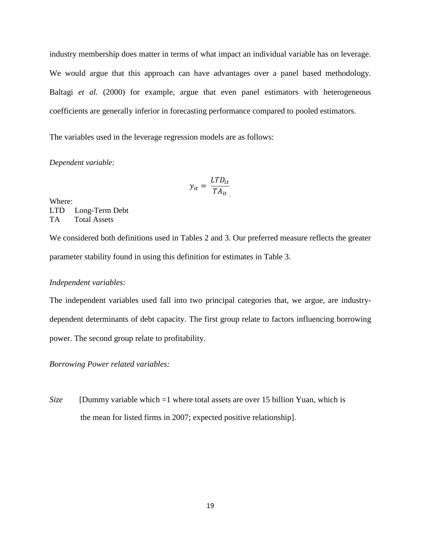industry membership does matter in terms of what impact an individual variable has on leverage. We would argue that this approach can have advantages over a panel based methodology. Baltagi *et al.* (2000) for example, argue that even panel estimators with heterogeneous coefficients are generally inferior in forecasting performance compared to pooled estimators.

The variables used in the leverage regression models are as follows:

#### *Dependent variable:*

$$
y_{it} = \frac{LTD_{it}}{TA_{it}}
$$

Where: LTD Long-Term Debt TA Total Assets

We considered both definitions used in Tables 2 and 3. Our preferred measure reflects the greater parameter stability found in using this definition for estimates in Table 3.

#### *Independent variables:*

The independent variables used fall into two principal categories that, we argue, are industrydependent determinants of debt capacity. The first group relate to factors influencing borrowing power. The second group relate to profitability.

*Borrowing Power related variables:*

*Size* [Dummy variable which =1 where total assets are over 15 billion Yuan, which is the mean for listed firms in 2007; expected positive relationship].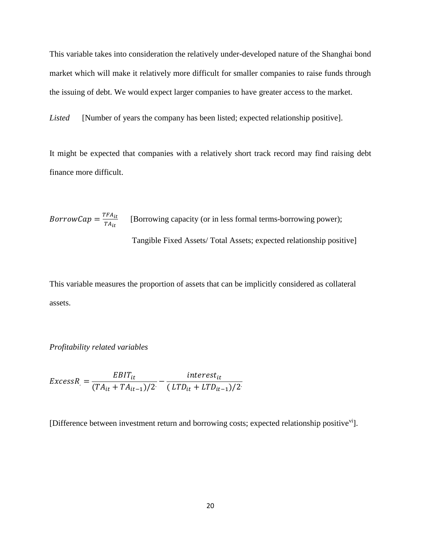This variable takes into consideration the relatively under-developed nature of the Shanghai bond market which will make it relatively more difficult for smaller companies to raise funds through the issuing of debt. We would expect larger companies to have greater access to the market.

*Listed* [Number of years the company has been listed; expected relationship positive].

It might be expected that companies with a relatively short track record may find raising debt finance more difficult.

*BorrowCap* = 
$$
\frac{TFA_{it}}{TA_{it}}
$$
 [Borrowing capacity (or in less formal terms-borrowing power);  
Tangible Fixed Assets/ Total Assets; expected relationship positive]

This variable measures the proportion of assets that can be implicitly considered as collateral assets.

### *Profitability related variables*

$$
ExcessR = \frac{EBIT_{it}}{(TA_{it} + TA_{it-1})/2} - \frac{interest_{it}}{(LTD_{it} + LTD_{it-1})/2}
$$

[Difference between investment return and borrowing costs; expected relationship positive<sup>vi</sup>].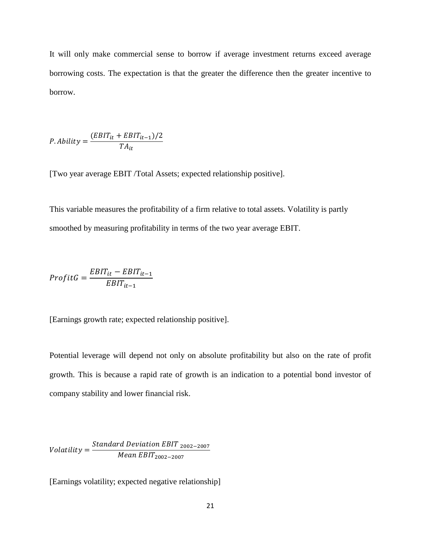It will only make commercial sense to borrow if average investment returns exceed average borrowing costs. The expectation is that the greater the difference then the greater incentive to borrow.

$$
P. \text{ ability} = \frac{(EBIT_{it} + EBIT_{it-1})/2}{TA_{it}}
$$

[Two year average EBIT /Total Assets; expected relationship positive].

This variable measures the profitability of a firm relative to total assets*.* Volatility is partly smoothed by measuring profitability in terms of the two year average EBIT.

$$
ProfitG = \frac{EBIT_{it} - EBIT_{it-1}}{EBIT_{it-1}}
$$

[Earnings growth rate; expected relationship positive].

Potential leverage will depend not only on absolute profitability but also on the rate of profit growth. This is because a rapid rate of growth is an indication to a potential bond investor of company stability and lower financial risk.

 $\emph{Volatility}=\frac{Standard\ Deviation\ EBIT\ _{2002-2007}}{M_{\odot\,}EBIT}$ Mean EBIT<sub>2002−2007</sub>

[Earnings volatility; expected negative relationship]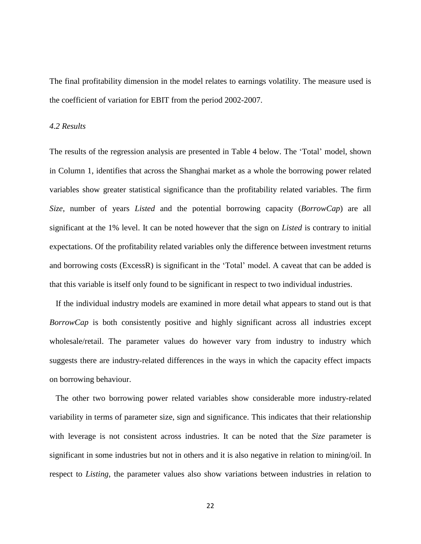The final profitability dimension in the model relates to earnings volatility. The measure used is the coefficient of variation for EBIT from the period 2002-2007.

## *4.2 Results*

The results of the regression analysis are presented in Table 4 below. The 'Total' model, shown in Column 1, identifies that across the Shanghai market as a whole the borrowing power related variables show greater statistical significance than the profitability related variables. The firm *Size*, number of years *Listed* and the potential borrowing capacity (*BorrowCap*) are all significant at the 1% level. It can be noted however that the sign on *Listed* is contrary to initial expectations. Of the profitability related variables only the difference between investment returns and borrowing costs (ExcessR) is significant in the 'Total' model. A caveat that can be added is that this variable is itself only found to be significant in respect to two individual industries.

 If the individual industry models are examined in more detail what appears to stand out is that *BorrowCap* is both consistently positive and highly significant across all industries except wholesale/retail. The parameter values do however vary from industry to industry which suggests there are industry-related differences in the ways in which the capacity effect impacts on borrowing behaviour.

 The other two borrowing power related variables show considerable more industry-related variability in terms of parameter size, sign and significance. This indicates that their relationship with leverage is not consistent across industries. It can be noted that the *Size* parameter is significant in some industries but not in others and it is also negative in relation to mining/oil. In respect to *Listing*, the parameter values also show variations between industries in relation to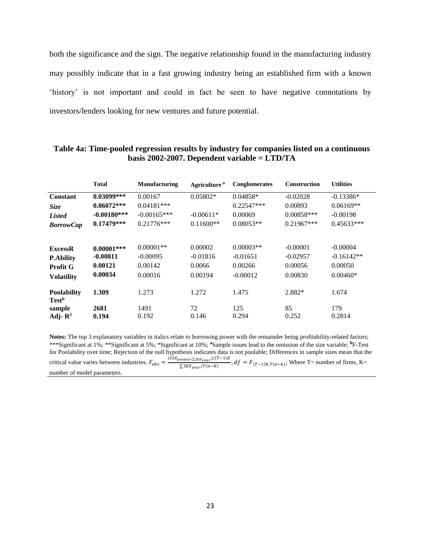both the significance and the sign. The negative relationship found in the manufacturing industry may possibly indicate that in a fast growing industry being an established firm with a known 'history' is not important and could in fact be seen to have negative connotations by investors/lenders looking for new ventures and future potential.

|                                                | <b>Total</b>  | <b>Manufacturing</b> | Agriculture <sup>a</sup> | Conglomerates | <b>Construction</b> | <b>Utilities</b> |
|------------------------------------------------|---------------|----------------------|--------------------------|---------------|---------------------|------------------|
| <b>Constant</b>                                | $0.03099***$  | 0.00167              | $0.05802*$               | $0.04858*$    | $-0.02028$          | $-0.13386*$      |
| <b>Size</b>                                    | $0.06072***$  | $0.04181***$         |                          | $0.22547***$  | 0.00893             | $0.06169**$      |
| <b>Listed</b>                                  | $-0.00180***$ | $-0.00165***$        | $-0.00611*$              | 0.00069       | $0.00858***$        | $-0.00198$       |
| <b>BorrowCap</b>                               | $0.17479***$  | $0.21776***$         | $0.11600**$              | $0.08053**$   | $0.21967***$        | $0.45633***$     |
| <b>ExcessR</b>                                 | $0.00001***$  | $0.00001**$          | 0.00002                  | $0.00003**$   | $-0.00001$          | $-0.00004$       |
| <b>P.Ability</b>                               | $-0.00811$    | $-0.00095$           | $-0.01816$               | $-0.01651$    | $-0.02957$          | $-0.16142**$     |
| <b>Profit G</b>                                | 0.00121       | 0.00142              | 0.0066                   | 0.00266       | 0.00056             | 0.00050          |
| <b>Volatility</b>                              | 0.00034       | 0.00016              | 0.00194                  | $-0.00012$    | 0.00830             | $0.00460*$       |
| <b>Poolability</b><br><b>Test</b> <sup>b</sup> | 1.309         | 1.273                | 1.272                    | 1.475         | 2.882*              | 1.674            |
| sample                                         | 2681          | 1491                 | 72                       | 125           | 85                  | 179              |
| Adj- $\mathbb{R}^2$                            | 0.194         | 0.192                | 0.146                    | 0.294         | 0.252               | 0.2814           |

#### **Table 4a: Time-pooled regression results by industry for companies listed on a continuous basis 2002-2007. Dependent variable = LTD/TA**

**Notes:** The top 3 explanatory variables in italics relate to borrowing power with the remainder being profitability-related factors; \*\*\*Significant at 1%; \*\*Significant at 5%; \*Significant at 10%; **<sup>a</sup>**Sample issues lead to the omission of the size variable; **<sup>b</sup>**F-Test for Poolability over time; Rejection of the null hypothesis indicates data is not poolable; Differences in sample sizes mean that the critical value varies between industries.  $F_{obs} = \frac{(SSE_{pooled} - \Sigma SSE_{year})/(T-1)K}{\Sigma SE_{per} - (T(n-K))}$  $\sum_{SSE_{year}/T(n-K)}^{lower/2,55E_{year}/T(n-K)}$ ,  $df = F_{(T-1)K,T(n-k)}$ ; Where T= number of firms, K= number of model parameters.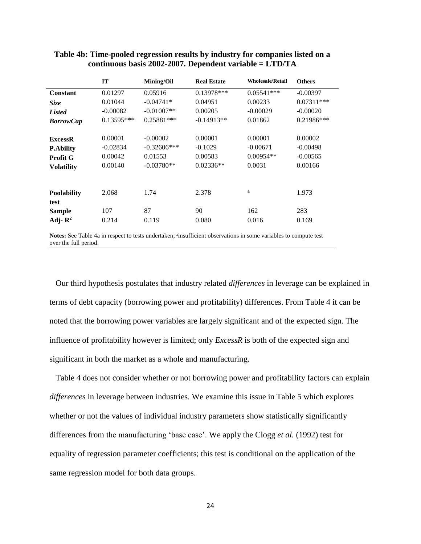| <b>IT</b>  | <b>Mining/Oil</b> | <b>Real Estate</b> | <b>Wholesale/Retail</b> | <b>Others</b> |
|------------|-------------------|--------------------|-------------------------|---------------|
| 0.01297    | 0.05916           | $0.13978***$       | $0.05541***$            | $-0.00397$    |
| 0.01044    | $-0.04741*$       | 0.04951            | 0.00233                 | $0.07311***$  |
| $-0.00082$ | $-0.01007**$      | 0.00205            | $-0.00029$              | $-0.00020$    |
| 0.13595*** | $0.25881***$      | $-0.14913**$       | 0.01862                 | 0.21986***    |
|            |                   |                    |                         |               |
| 0.00001    | $-0.00002$        | 0.00001            | 0.00001                 | 0.00002       |
| $-0.02834$ | $-0.32606***$     | $-0.1029$          | $-0.00671$              | $-0.00498$    |
| 0.00042    | 0.01553           | 0.00583            | $0.00954**$             | $-0.00565$    |
| 0.00140    | $-0.03780**$      | $0.02336**$        | 0.0031                  | 0.00166       |
|            |                   |                    |                         |               |
|            |                   |                    |                         |               |
|            |                   |                    |                         | 1.973         |
|            |                   |                    |                         |               |
|            |                   |                    | 162                     | 283           |
| 0.214      | 0.119             | 0.080              | 0.016                   | 0.169         |
|            | 2.068<br>107      | 1.74<br>87         | 2.378<br>90             | a             |

## **Table 4b: Time-pooled regression results by industry for companies listed on a continuous basis 2002-2007. Dependent variable = LTD/TA**

Notes: See Table 4a in respect to tests undertaken; <sup>a</sup>insufficient observations in some variables to compute test over the full period.

 Our third hypothesis postulates that industry related *differences* in leverage can be explained in terms of debt capacity (borrowing power and profitability) differences. From Table 4 it can be noted that the borrowing power variables are largely significant and of the expected sign. The influence of profitability however is limited; only *ExcessR* is both of the expected sign and significant in both the market as a whole and manufacturing.

 Table 4 does not consider whether or not borrowing power and profitability factors can explain *differences* in leverage between industries. We examine this issue in Table 5 which explores whether or not the values of individual industry parameters show statistically significantly differences from the manufacturing 'base case'. We apply the Clogg *et al.* (1992) test for equality of regression parameter coefficients; this test is conditional on the application of the same regression model for both data groups.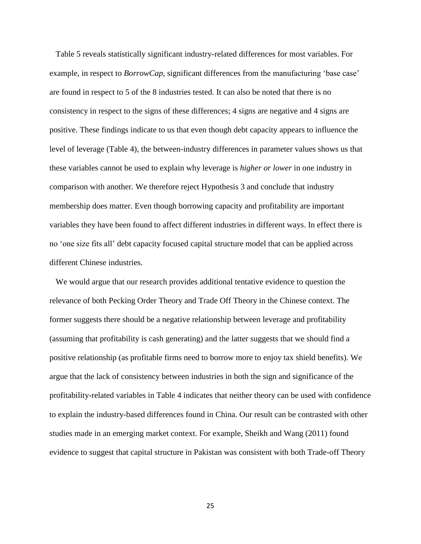Table 5 reveals statistically significant industry-related differences for most variables. For example, in respect to *BorrowCap*, significant differences from the manufacturing 'base case' are found in respect to 5 of the 8 industries tested. It can also be noted that there is no consistency in respect to the signs of these differences; 4 signs are negative and 4 signs are positive. These findings indicate to us that even though debt capacity appears to influence the level of leverage (Table 4), the between-industry differences in parameter values shows us that these variables cannot be used to explain why leverage is *higher or lower* in one industry in comparison with another*.* We therefore reject Hypothesis 3 and conclude that industry membership does matter. Even though borrowing capacity and profitability are important variables they have been found to affect different industries in different ways. In effect there is no 'one size fits all' debt capacity focused capital structure model that can be applied across different Chinese industries.

 We would argue that our research provides additional tentative evidence to question the relevance of both Pecking Order Theory and Trade Off Theory in the Chinese context. The former suggests there should be a negative relationship between leverage and profitability (assuming that profitability is cash generating) and the latter suggests that we should find a positive relationship (as profitable firms need to borrow more to enjoy tax shield benefits). We argue that the lack of consistency between industries in both the sign and significance of the profitability-related variables in Table 4 indicates that neither theory can be used with confidence to explain the industry-based differences found in China. Our result can be contrasted with other studies made in an emerging market context. For example, Sheikh and Wang (2011) found evidence to suggest that capital structure in Pakistan was consistent with both Trade-off Theory

25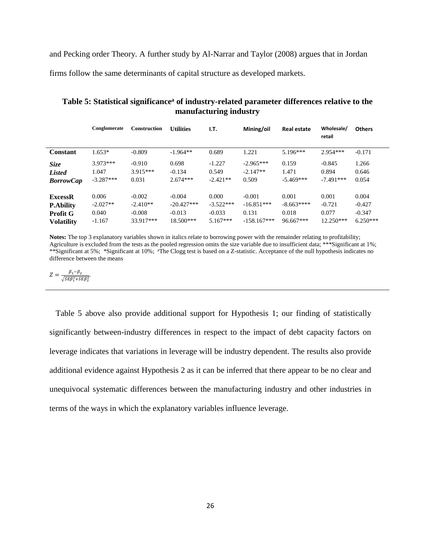and Pecking order Theory. A further study by Al-Narrar and Taylor (2008) argues that in Jordan

firms follow the same determinants of capital structure as developed markets.

|                   | Conglomerate | <b>Construction</b> | <b>Utilities</b> | I.T.        | Mining/oil    | <b>Real estate</b> | Wholesale/<br>retail | <b>Others</b> |
|-------------------|--------------|---------------------|------------------|-------------|---------------|--------------------|----------------------|---------------|
| Constant          | $1.653*$     | $-0.809$            | $-1.964**$       | 0.689       | 1.221         | $5.196***$         | $2.954***$           | $-0.171$      |
| Size              | $3.973***$   | $-0.910$            | 0.698            | $-1.227$    | $-2.965***$   | 0.159              | $-0.845$             | 1.266         |
| <b>Listed</b>     | 1.047        | $3.915***$          | $-0.134$         | 0.549       | $-2.147**$    | 1.471              | 0.894                | 0.646         |
| <b>BorrowCap</b>  | $-3.287***$  | 0.031               | $2.674***$       | $-2.421**$  | 0.509         | $-5.469***$        | $-7.491***$          | 0.054         |
| <b>ExcessR</b>    | 0.006        | $-0.002$            | $-0.004$         | 0.000       | $-0.001$      | 0.001              | 0.001                | 0.004         |
| <b>P.Ability</b>  | $-2.027**$   | $-2.410**$          | $-20.427***$     | $-3.522***$ | $-16.851***$  | $-8.663***$        | $-0.721$             | $-0.427$      |
| <b>Profit G</b>   | 0.040        | $-0.008$            | $-0.013$         | $-0.033$    | 0.131         | 0.018              | 0.077                | $-0.347$      |
| <b>Volatility</b> | $-1.167$     | 33.917***           | $18.500***$      | $5.167***$  | $-158.167***$ | 96.667***          | $12.250***$          | $6.250***$    |

**Table 5: Statistical significance<sup>a</sup> of industry-related parameter differences relative to the manufacturing industry**

**Notes:** The top 3 explanatory variables shown in italics relate to borrowing power with the remainder relating to profitability; Agriculture is excluded from the tests as the pooled regression omits the size variable due to insufficient data; \*\*\*Significant at 1%; \*\*Significant at 5%; \*Significant at 10%; <sup>a</sup>The Clogg test is based on a Z-statistic. Acceptance of the null hypothesis indicates no difference between the means

$$
Z = \frac{\beta_1 - \beta_2}{\sqrt{SE\beta_1^2 + SE\beta_2^2}}.
$$

 Table 5 above also provide additional support for Hypothesis 1; our finding of statistically significantly between-industry differences in respect to the impact of debt capacity factors on leverage indicates that variations in leverage will be industry dependent. The results also provide additional evidence against Hypothesis 2 as it can be inferred that there appear to be no clear and unequivocal systematic differences between the manufacturing industry and other industries in terms of the ways in which the explanatory variables influence leverage.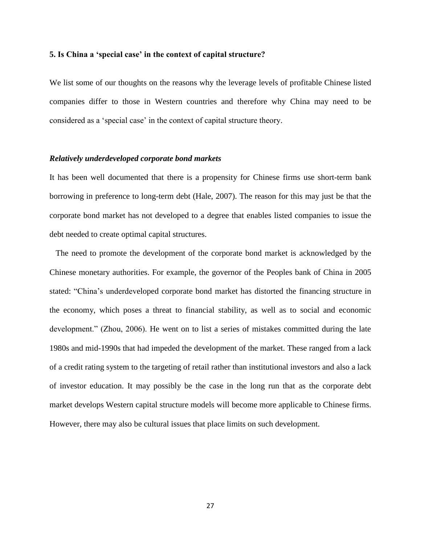#### **5. Is China a 'special case' in the context of capital structure?**

We list some of our thoughts on the reasons why the leverage levels of profitable Chinese listed companies differ to those in Western countries and therefore why China may need to be considered as a 'special case' in the context of capital structure theory.

#### *Relatively underdeveloped corporate bond markets*

It has been well documented that there is a propensity for Chinese firms use short-term bank borrowing in preference to long-term debt (Hale, 2007). The reason for this may just be that the corporate bond market has not developed to a degree that enables listed companies to issue the debt needed to create optimal capital structures.

 The need to promote the development of the corporate bond market is acknowledged by the Chinese monetary authorities. For example, the governor of the Peoples bank of China in 2005 stated: "China's underdeveloped corporate bond market has distorted the financing structure in the economy, which poses a threat to financial stability, as well as to social and economic development." (Zhou, 2006). He went on to list a series of mistakes committed during the late 1980s and mid-1990s that had impeded the development of the market. These ranged from a lack of a credit rating system to the targeting of retail rather than institutional investors and also a lack of investor education. It may possibly be the case in the long run that as the corporate debt market develops Western capital structure models will become more applicable to Chinese firms. However, there may also be cultural issues that place limits on such development.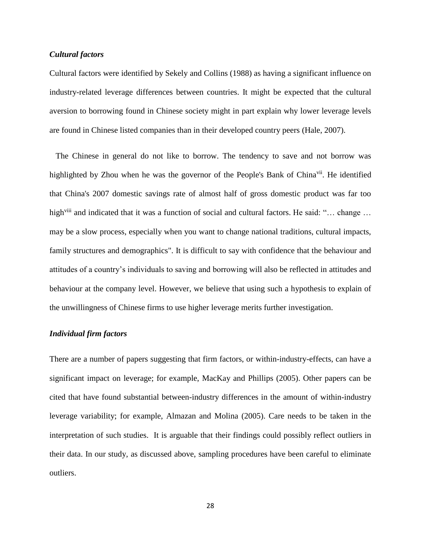## *Cultural factors*

Cultural factors were identified by Sekely and Collins (1988) as having a significant influence on industry-related leverage differences between countries. It might be expected that the cultural aversion to borrowing found in Chinese society might in part explain why lower leverage levels are found in Chinese listed companies than in their developed country peers (Hale, 2007).

 The Chinese in general do not like to borrow. The tendency to save and not borrow was highlighted by Zhou when he was the governor of the People's Bank of China<sup>vii</sup>. He identified that China's 2007 domestic savings rate of almost half of gross domestic product was far too high<sup>viii</sup> and indicated that it was a function of social and cultural factors. He said: "... change ... may be a slow process, especially when you want to change national traditions, cultural impacts, family structures and demographics". It is difficult to say with confidence that the behaviour and attitudes of a country's individuals to saving and borrowing will also be reflected in attitudes and behaviour at the company level. However, we believe that using such a hypothesis to explain of the unwillingness of Chinese firms to use higher leverage merits further investigation.

## *Individual firm factors*

There are a number of papers suggesting that firm factors, or within-industry-effects, can have a significant impact on leverage; for example, MacKay and Phillips (2005). Other papers can be cited that have found substantial between-industry differences in the amount of within-industry leverage variability; for example, Almazan and Molina (2005). Care needs to be taken in the interpretation of such studies. It is arguable that their findings could possibly reflect outliers in their data. In our study, as discussed above, sampling procedures have been careful to eliminate outliers.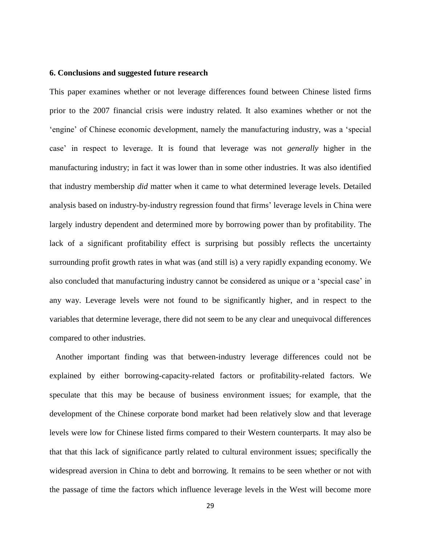#### **6. Conclusions and suggested future research**

This paper examines whether or not leverage differences found between Chinese listed firms prior to the 2007 financial crisis were industry related. It also examines whether or not the 'engine' of Chinese economic development, namely the manufacturing industry, was a 'special case' in respect to leverage. It is found that leverage was not *generally* higher in the manufacturing industry; in fact it was lower than in some other industries. It was also identified that industry membership *did* matter when it came to what determined leverage levels. Detailed analysis based on industry-by-industry regression found that firms' leverage levels in China were largely industry dependent and determined more by borrowing power than by profitability. The lack of a significant profitability effect is surprising but possibly reflects the uncertainty surrounding profit growth rates in what was (and still is) a very rapidly expanding economy. We also concluded that manufacturing industry cannot be considered as unique or a 'special case' in any way. Leverage levels were not found to be significantly higher, and in respect to the variables that determine leverage, there did not seem to be any clear and unequivocal differences compared to other industries.

 Another important finding was that between-industry leverage differences could not be explained by either borrowing-capacity-related factors or profitability-related factors. We speculate that this may be because of business environment issues; for example, that the development of the Chinese corporate bond market had been relatively slow and that leverage levels were low for Chinese listed firms compared to their Western counterparts. It may also be that that this lack of significance partly related to cultural environment issues; specifically the widespread aversion in China to debt and borrowing. It remains to be seen whether or not with the passage of time the factors which influence leverage levels in the West will become more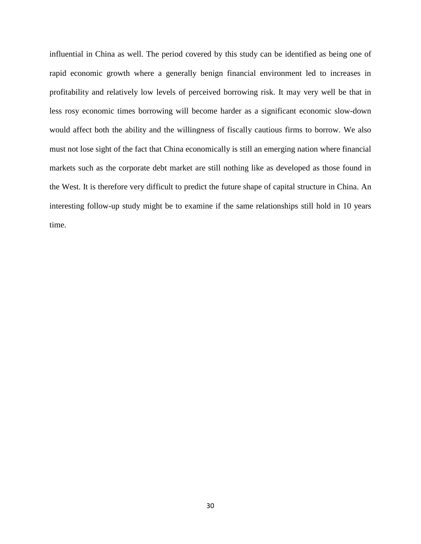influential in China as well. The period covered by this study can be identified as being one of rapid economic growth where a generally benign financial environment led to increases in profitability and relatively low levels of perceived borrowing risk. It may very well be that in less rosy economic times borrowing will become harder as a significant economic slow-down would affect both the ability and the willingness of fiscally cautious firms to borrow. We also must not lose sight of the fact that China economically is still an emerging nation where financial markets such as the corporate debt market are still nothing like as developed as those found in the West. It is therefore very difficult to predict the future shape of capital structure in China. An interesting follow-up study might be to examine if the same relationships still hold in 10 years time.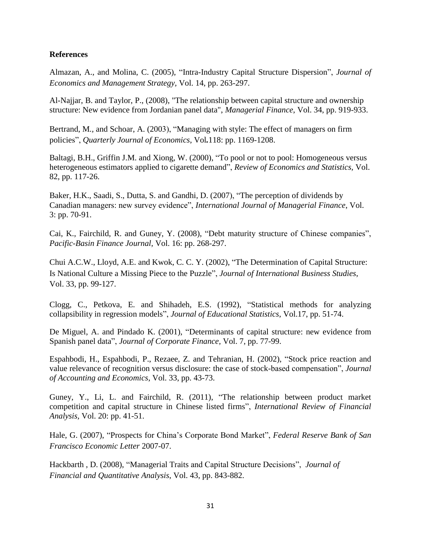## **References**

Almazan, A., and Molina, C. (2005), "Intra-Industry Capital Structure Dispersion", *Journal of Economics and Management Strategy,* Vol. 14, pp. 263-297.

Al-Najjar, B. and Taylor, P., (2008), "The relationship between capital structure and ownership structure: New evidence from Jordanian panel data", *Managerial Finance*, Vol. 34, pp. 919-933.

Bertrand, M*.,* and Schoar, A. (2003), "Managing with style: The effect of managers on firm policies", *Quarterly Journal of Economics*, Vol*.*118: pp. 1169*-*1208.

Baltagi, B.H., Griffin J.M. and Xiong, W. (2000), "To pool or not to pool: Homogeneous versus heterogeneous estimators applied to cigarette demand", *Review of Economics and Statistics,* Vol. 82, pp. 117-26.

Baker, H.K., Saadi, S., Dutta, S. and Gandhi, D. (2007), "The perception of dividends by Canadian managers: new survey evidence", *International Journal of Managerial Finance*, Vol. 3: pp. 70-91.

Cai, K., Fairchild, R. and Guney, Y. (2008), "Debt maturity structure of Chinese companies", *Pacific-Basin Finance Journal*, Vol. 16: pp. 268-297.

Chui A.C.W., Lloyd, A.E. and Kwok, C. C. Y. (2002), "The Determination of Capital Structure: Is National Culture a Missing Piece to the Puzzle", *Journal of International Business Studies*, Vol. 33, pp. 99-127.

Clogg, C., Petkova, E. and Shihadeh, E.S. (1992), "Statistical methods for analyzing collapsibility in regression models", *Journal of Educational Statistics*, Vol.17, pp. 51-74.

De Miguel, A. and Pindado K. (2001), "Determinants of capital structure: new evidence from Spanish panel data", *Journal of Corporate Finance,* Vol. 7, pp. 77-99.

Espahbodi, H., Espahbodi, P., Rezaee, Z. and Tehranian, H. (2002), "Stock price reaction and value relevance of recognition versus disclosure: the case of stock-based compensation", *Journal of Accounting and Economics*, Vol. 33, pp. 43-73.

Guney, Y., Li, L. and Fairchild, R. (2011), "The relationship between product market competition and capital structure in Chinese listed firms", *International Review of Financial Analysis,* Vol. 20: pp. 41-51.

Hale, G. (2007), "Prospects for China's Corporate Bond Market", *Federal Reserve Bank of San Francisco Economic Letter* 2007-07.

Hackbarth , D. (2008), "Managerial Traits and Capital Structure Decisions", *Journal of Financial and Quantitative Analysis*, Vol. 43, pp. 843-882.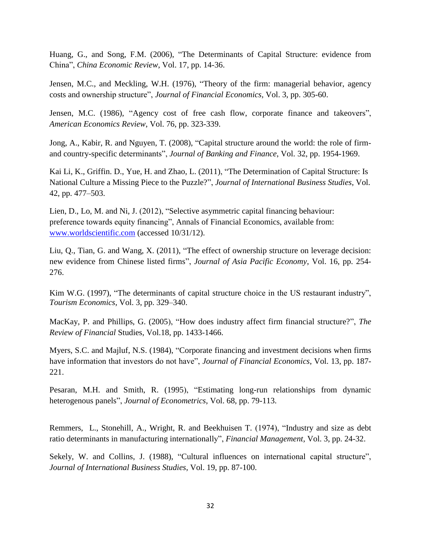Huang, G., and Song, F.M. (2006), "The Determinants of Capital Structure: evidence from China", *China Economic Review*, Vol. 17, pp. 14-36.

Jensen, M.C., and Meckling, W.H. (1976), "Theory of the firm: managerial behavior, agency costs and ownership structure", *Journal of Financial Economics,* Vol. 3, pp. 305-60.

Jensen, M.C. (1986), "Agency cost of free cash flow, corporate finance and takeovers", *American Economics Review*, Vol. 76, pp. 323-339.

Jong, A., Kabir, R. and Nguyen, T. (2008), "Capital structure around the world: the role of firmand country-specific determinants", *Journal of Banking and Finance*, Vol. 32, pp. 1954-1969.

Kai Li, K., Griffin. D., Yue, H. and Zhao, L. (2011), "The Determination of Capital Structure: Is National Culture a Missing Piece to the Puzzle?", *Journal of International Business Studies*, Vol. 42, pp. 477–503.

Lien, D., Lo, M. and Ni, J. (2012), "Selective asymmetric capital financing behaviour: preference towards equity financing", Annals of Financial Economics, available from: [www.worldscientific.com](http://www.worldscientific.com/) (accessed 10/31/12).

Liu, Q., Tian, G. and Wang, X. (2011), "The effect of ownership structure on leverage decision: new evidence from Chinese listed firms", *Journal of Asia Pacific Economy*, Vol. 16, pp. 254- 276.

Kim W.G. (1997), "The determinants of capital structure choice in the US restaurant industry", *Tourism Economics*, Vol. 3, pp. 329–340.

MacKay, P. and Phillips, G. (2005), "How does industry affect firm financial structure?", *The Review of Financial* Studies, Vol.18, pp. 1433-1466.

Myers, S.C. and Majluf, N.S. (1984), "Corporate financing and investment decisions when firms have information that investors do not have", *Journal of Financial Economics*, Vol. 13, pp. 187- 221.

Pesaran, M.H. and Smith, R. (1995), "Estimating long-run relationships from dynamic heterogenous panels", *Journal of Econometrics*, Vol. 68, pp. 79-113.

Remmers, L., Stonehill, A., Wright, R. and Beekhuisen T. (1974), "Industry and size as debt ratio determinants in manufacturing internationally", *Financial Management,* Vol. 3, pp. 24-32.

Sekely, W. and Collins, J. (1988), "Cultural influences on international capital structure", *Journal of International Business Studies*, Vol. 19, pp. 87-100.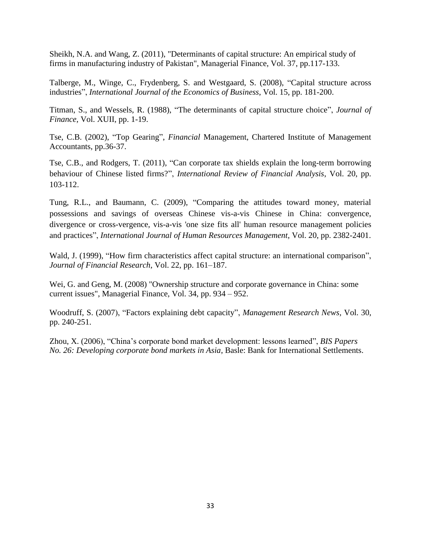Sheikh, N.A. and Wang, Z. (2011), "Determinants of capital structure: An empirical study of firms in manufacturing industry of Pakistan", Managerial Finance, Vol. 37, pp.117-133.

Talberge, M., Winge, C., Frydenberg, S. and Westgaard, S. (2008), "Capital structure across industries", *International Journal of the Economics of Business*, Vol. 15, pp. 181-200.

Titman, S., and Wessels, R. (1988), "The determinants of capital structure choice", *Journal of Finance*, Vol. XUII, pp. 1-19.

Tse, C.B. (2002), "Top Gearing", *Financial* Management, Chartered Institute of Management Accountants, pp.36-37.

Tse, C.B., and Rodgers, T. (2011), "Can corporate tax shields explain the long-term borrowing behaviour of Chinese listed firms?", *International Review of Financial Analysis*, Vol. 20, pp. 103-112.

Tung, R.L., and Baumann, C. (2009), "Comparing the attitudes toward money, material possessions and savings of overseas Chinese vis-a-vis Chinese in China: convergence, divergence or cross-vergence, vis-a-vis 'one size fits all' human resource management policies and practices", *International Journal of Human Resources Management*, Vol. 20, pp. 2382-2401.

Wald, J. (1999), "How firm characteristics affect capital structure: an international comparison", *Journal of Financial Research*, Vol. 22, pp. 161–187.

Wei, G. and Geng, M. (2008) "Ownership structure and corporate governance in China: some current issues", Managerial Finance, Vol. 34, pp. 934 – 952.

Woodruff, S. (2007), "Factors explaining debt capacity", *Management Research News,* Vol. 30, pp. 240-251.

Zhou, X. (2006), "China's corporate bond market development: lessons learned", *BIS Papers No. 26: Developing corporate bond markets in Asia*, Basle: Bank for International Settlements.